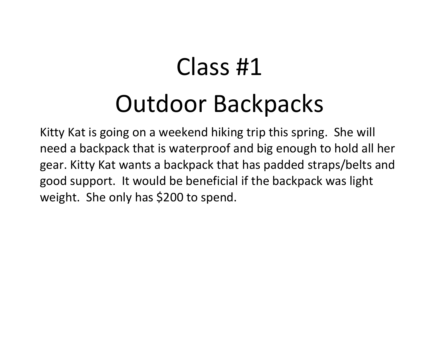# Class #1Outdoor Backpacks

Kitty Kat is going on <sup>a</sup> weekend hiking trip this spring. She will need <sup>a</sup> backpack that is waterproof and big enough to hold all her gear. Kitty Kat wants <sup>a</sup> backpack that has padded straps/belts and good support. It would be beneficial if the backpack was light weight. She only has \$200 to spend.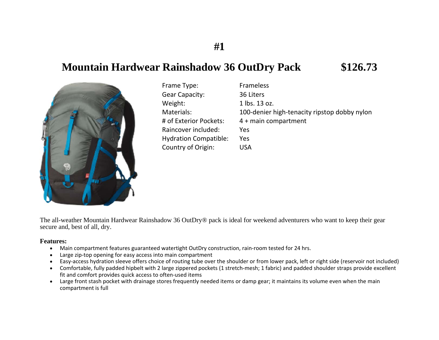## **Mountain Hardwear Rainshadow 36 OutDry Pack \$126.73**



| Frame Type:                  | Frameless                                    |
|------------------------------|----------------------------------------------|
| <b>Gear Capacity:</b>        | 36 Liters                                    |
| Weight:                      | 1 lbs. 13 oz.                                |
| Materials:                   | 100-denier high-tenacity ripstop dobby nylon |
| # of Exterior Pockets:       | 4 + main compartment                         |
| Raincover included:          | Yes                                          |
| <b>Hydration Compatible:</b> | Yes                                          |
| Country of Origin:           | <b>USA</b>                                   |

The all-weather Mountain Hardwear Rainshadow 36 OutDry® pack is ideal for weekend adventurers who want to keep their gear secure and, best of all, dry.

#### **Features:**

- $\bullet$ Main compartment features guaranteed watertight OutDry construction, rain‐room tested for 24 hrs.
- $\bullet$ Large zip‐top opening for easy access into main compartment
- $\bullet$ Easy-access hydration sleeve offers choice of routing tube over the shoulder or from lower pack, left or right side (reservoir not included)
- $\bullet$  Comfortable, fully padded hipbelt with 2 large zippered pockets (1 stretch‐mesh; 1 fabric) and padded shoulder straps provide excellent fit and comfort provides quick access to often‐used items
- Large front stash pocket with drainage stores frequently needed items or damp gear; it maintains its volume even when the main compartment is full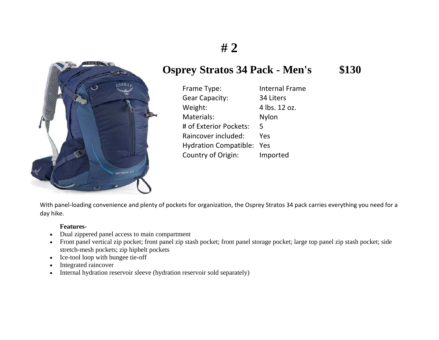

## **Osprey Stratos 34 Pack - Men's \$130**

Frame Type: Internal Frame Gear Capacity: 34 Liters Weight: 4 lbs. 12 oz. Materials: Nylon # of Exterior Pockets: 5Raincover included: YesHydration Compatible: Yes Country of Origin: Imported

With panel‐loading convenience and plenty of pockets for organization, the Osprey Stratos 34 pack carries everything you need for <sup>a</sup> day hike.

### **Features-**

- $\bullet$ Dual zippered panel access to main compartment
- Front panel vertical zip pocket; front panel zip stash pocket; front panel storage pocket; large top panel zip stash pocket; side stretch-mesh pockets; zip hipbelt pockets
- $\bullet$ Ice-tool loop with bungee tie-off
- $\bullet$ Integrated raincover
- $\bullet$ Internal hydration reservoir sleeve (hydration reservoir sold separately)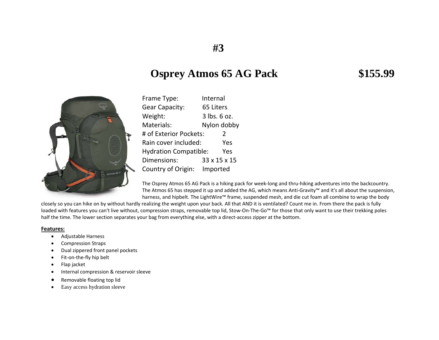## **Osprey Atmos 65 AG Pack \$155.99**



| Frame Type:                         | Internal      |
|-------------------------------------|---------------|
| <b>Gear Capacity:</b>               | 65 Liters     |
| Weight:                             | 3 lbs. 6 oz.  |
| Materials:                          | Nylon dobby   |
| # of Exterior Pockets:              | $\mathcal{L}$ |
| Rain cover included:                | Yes           |
| <b>Hydration Compatible:</b><br>Yes |               |
| Dimensions:                         | 33 x 15 x 15  |
| Country of Origin:                  | Imported      |

The Osprey Atmos 65 AG Pack is <sup>a</sup> hiking pack for week‐long and thru‐hiking adventures into the backcountry. The Atmos 65 has stepped it up and added the AG, which means Anti‐Gravity™ and it's all about the suspension, harness, and hipbelt. The LightWire™ frame, suspended mesh, and die cut foam all combine to wrap the body

closely so you can hike on by without hardly realizing the weight upon your back. All that AND it is ventilated? Count me in. From there the pack is fully loaded with features you can't live without, compression straps, removable top lid, Stow‐On‐The‐Go™ for those that only want to use their trekking poles half the time. The lower section separates your bag from everything else, with <sup>a</sup> direct‐access zipper at the bottom.

#### **Features:**

- $\bullet$ Adjustable Harness
- $\bullet$ Compression Straps
- $\bullet$ Dual zippered front panel pockets
- $\bullet$ Fit-on-the-fly hip belt
- $\bullet$ Flap jacket
- $\bullet$ Internal compression & reservoir sleeve
- $\bullet$ • Removable floating top lid
- $\bullet$ Easy access hydration sleeve